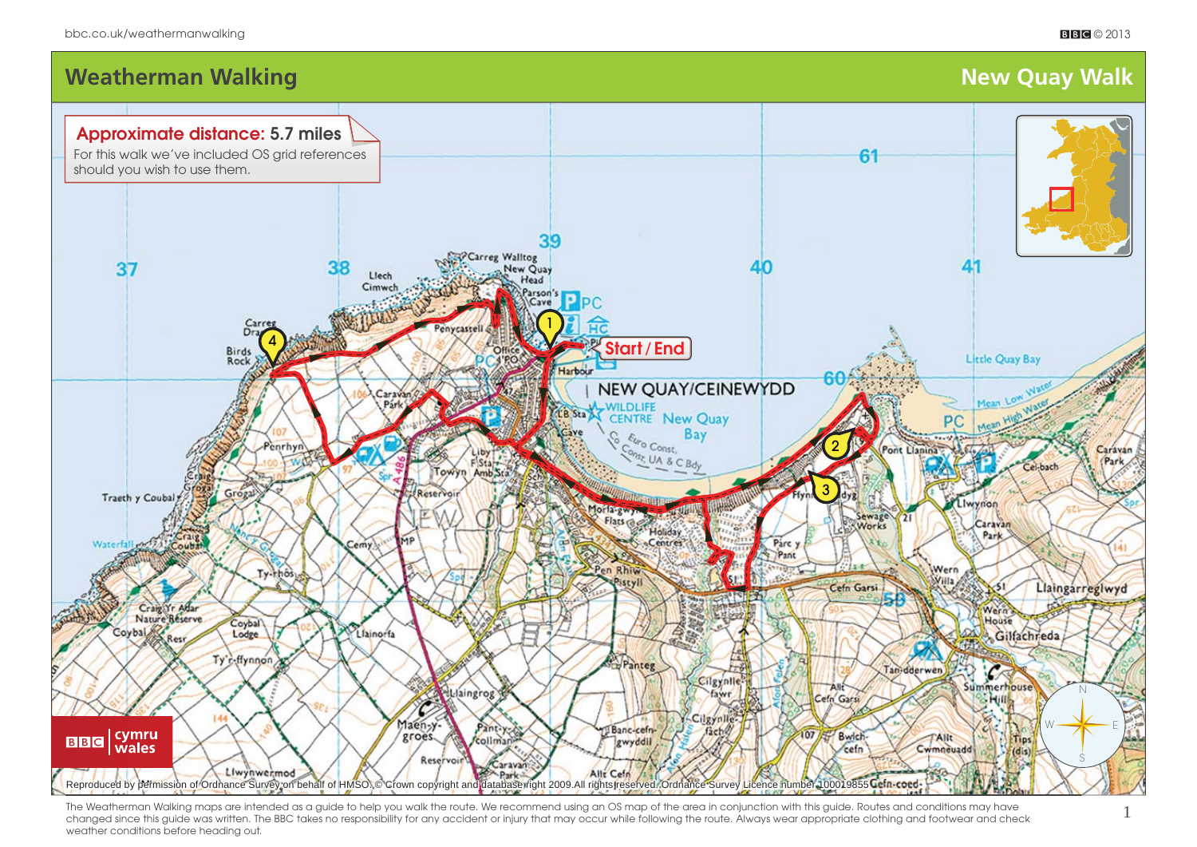



**Weatherman Walking Walking Straight Community Community Community Community Community Community Community Community** 

**Approximate distance: 5.7 miles** For this walk we've included OS grid references

The Weatherman Walking maps are intended as a quide to help you walk the route. We recommend using an OS map of the area in conjunction with this guide. Routes and conditions may have changed since this guide was written. The BBC takes no responsibility for any accident or injury that may occur while following the route. Always wear appropriate clothing and footwear and check weather conditions before heading out.

Allt Cefn

Reproduced by permission of Ordnance Survey on behalf of HMSO. © Crown copyright and database right 2009.All rights reserved. Ordnance Survey Licence number 100019855 Cefn-coed-

Park-

should you wish to use them.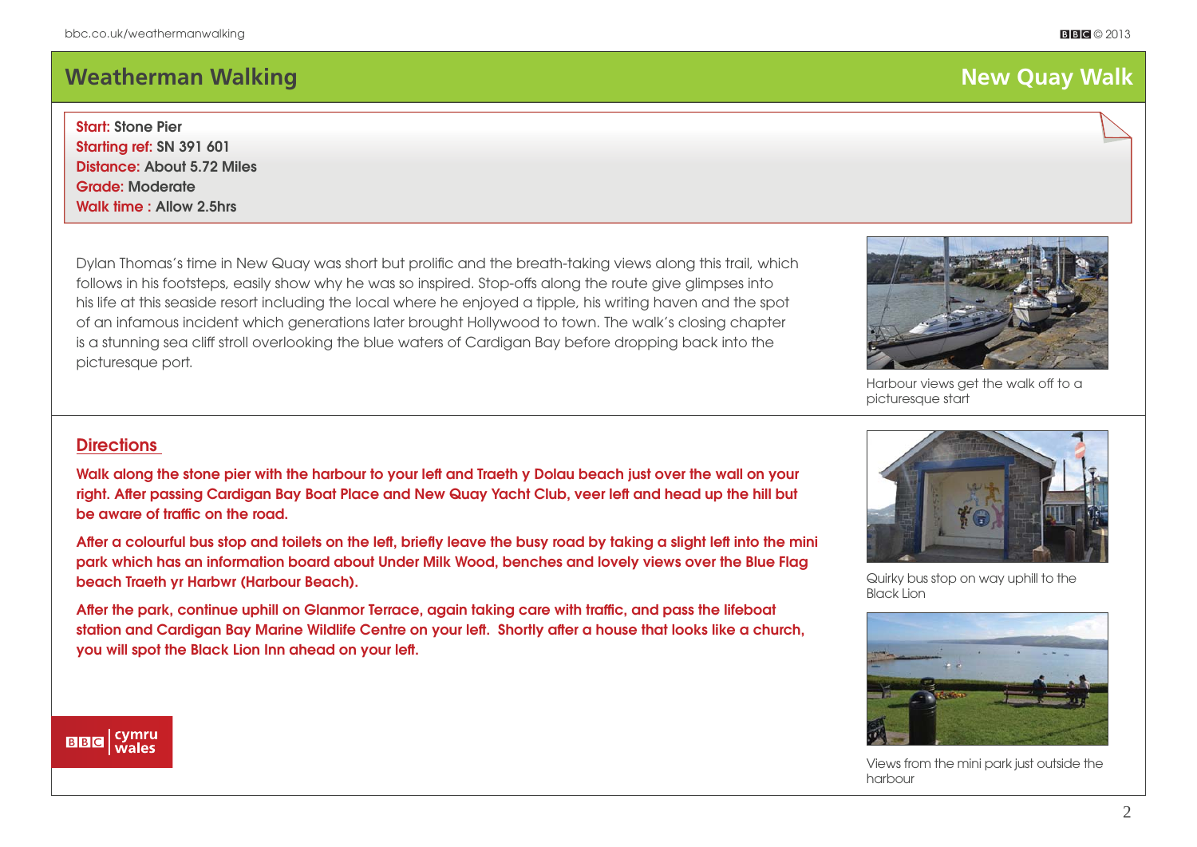# **Meatherman Walking Structure (New York Structure 1996)** and the set of the set of the set of the set of the set of the set of the set of the set of the set of the set of the set of the set of the set of the set of the set

## **Start: Stone Pier**

**Starting ref: SN 391 601 Distance: About 5.72 Miles Grade: Moderate Walk time : Allow 2.5hrs**

Dylan Thomas's time in New Quay was short but prolific and the breath-taking views along this trail, which follows in his footsteps, easily show why he was so inspired. Stop-offs along the route give glimpses into his life at this seaside resort including the local where he enjoyed a tipple, his writing haven and the spot of an infamous incident which generations later brought Hollywood to town. The walk's closing chapter is a stunning sea cliff stroll overlooking the blue waters of Cardigan Bay before dropping back into the picturesque port.

## Harbour views get the walk off to a picturesque start

## **Directions**

**Walk along the stone pier with the harbour to your left and Traeth y Dolau beach just over the wall on your**  right. After passing Cardigan Bay Boat Place and New Quay Yacht Club, veer left and head up the hill but be aware of traffic on the road.

After a colourful bus stop and toilets on the left, briefly leave the busy road by taking a slight left into the mini **park which has an information board about Under Milk Wood, benches and lovely views over the Blue Flag beach Traeth yr Harbwr (Harbour Beach).** 

After the park, continue uphill on Glanmor Terrace, again taking care with traffic, and pass the lifeboat station and Cardigan Bay Marine Wildlife Centre on your left. Shortly after a house that looks like a church, **you will spot the Black Lion Inn ahead on your left.** 

### cymru<br>| wales **BBC**





Quirky bus stop on way uphill to the Black Lion



Views from the mini park just outside the harbour

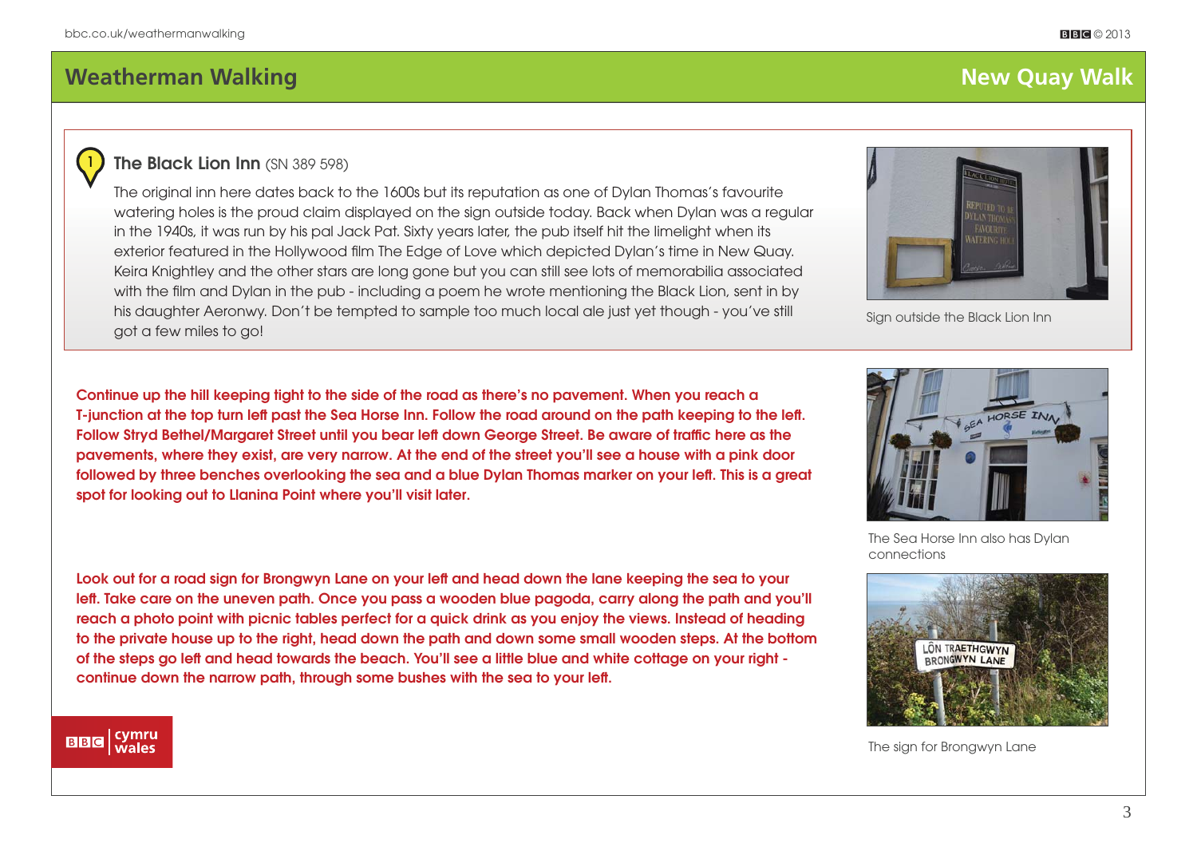1

# **Meatherman Walking Structure (New York Structure 1998)** and the set of the set of the set of the set of the set of the set of the set of the set of the set of the set of the set of the set of the set of the set of the set

## **The Black Lion Inn (SN 389 598)**

The original inn here dates back to the 1600s but its reputation as one of Dylan Thomas's favourite watering holes is the proud claim displayed on the sign outside today. Back when Dylan was a regular in the 1940s, it was run by his pal Jack Pat. Sixty years later, the pub itself hit the limelight when its exterior featured in the Hollywood film The Edge of Love which depicted Dylan's time in New Quay. Keira Knightley and the other stars are long gone but you can still see lots of memorabilia associated with the film and Dylan in the pub - including a poem he wrote mentioning the Black Lion, sent in by his daughter Aeronwy. Don't be tempted to sample too much local ale just yet though - you've still got a few miles to go!



Sign outside the Black Lion Inn

**Continue up the hill keeping tight to the side of the road as there's no pavement. When you reach a T-junction at the top turn left past the Sea Horse Inn. Follow the road around on the path keeping to the left .**  Follow Stryd Bethel/Margaret Street until you bear left down George Street. Be aware of traffic here as the **pavements, where they exist, are very narrow. At the end of the street you'll see a house with a pink door**  followed by three benches overlooking the sea and a blue Dylan Thomas marker on your left. This is a great **spot for looking out to Llanina Point where you'll visit later.** 

**Look out for a road sign for Brongwyn Lane on your left and head down the lane keeping the sea to your**  left. Take care on the uneven path. Once you pass a wooden blue pagoda, carry along the path and you'll **reach a photo point with picnic tables perfect for a quick drink as you enjoy the views. Instead of heading to the private house up to the right, head down the path and down some small wooden steps. At the bottom of the steps go left and head towards the beach. You'll see a little blue and white cottage on your right continue down the narrow path, through some bushes with the sea to your left .**



The Sea Horse Inn also has Dylan connections



The sign for Brongwyn Lane

#### cymru<br>wales **BBC**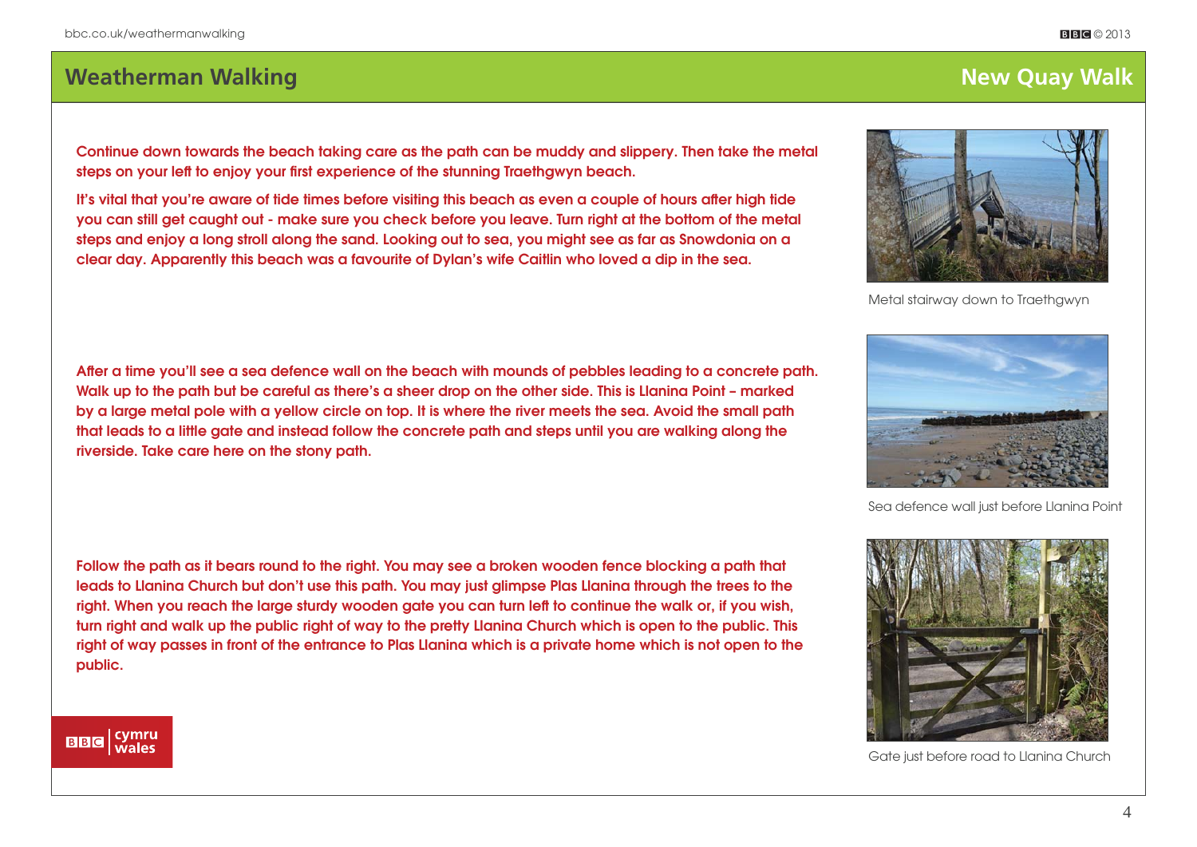# **Weatherman Walking New York: Weatherman Walking New York: Weatherman Walk**

**Continue down towards the beach taking care as the path can be muddy and slippery. Then take the metal**  steps on your left to enjoy your first experience of the stunning Traethgwyn beach.

It's vital that you're aware of tide times before visiting this beach as even a couple of hours after high tide **you can still get caught out - make sure you check before you leave. Turn right at the bottom of the metal steps and enjoy a long stroll along the sand. Looking out to sea, you might see as far as Snowdonia on a clear day. Apparently this beach was a favourite of Dylan's wife Caitlin who loved a dip in the sea.**

After a time you'll see a sea defence wall on the beach with mounds of pebbles leading to a concrete path. **Walk up to the path but be careful as there's a sheer drop on the other side. This is Llanina Point – marked by a large metal pole with a yellow circle on top. It is where the river meets the sea. Avoid the small path that leads to a little gate and instead follow the concrete path and steps until you are walking along the riverside. Take care here on the stony path.** 

**Follow the path as it bears round to the right. You may see a broken wooden fence blocking a path that leads to Llanina Church but don't use this path. You may just glimpse Plas Llanina through the trees to the right. When you reach the large sturdy wooden gate you can turn left to continue the walk or, if you wish, turn right and walk up the public right of way to the pretty Llanina Church which is open to the public. This right of way passes in front of the entrance to Plas Llanina which is a private home which is not open to the public.**

| cymru<br>| wales **BBC** 

Sea defence wall just before Llanina Point







Metal stairway down to Traethgwyn

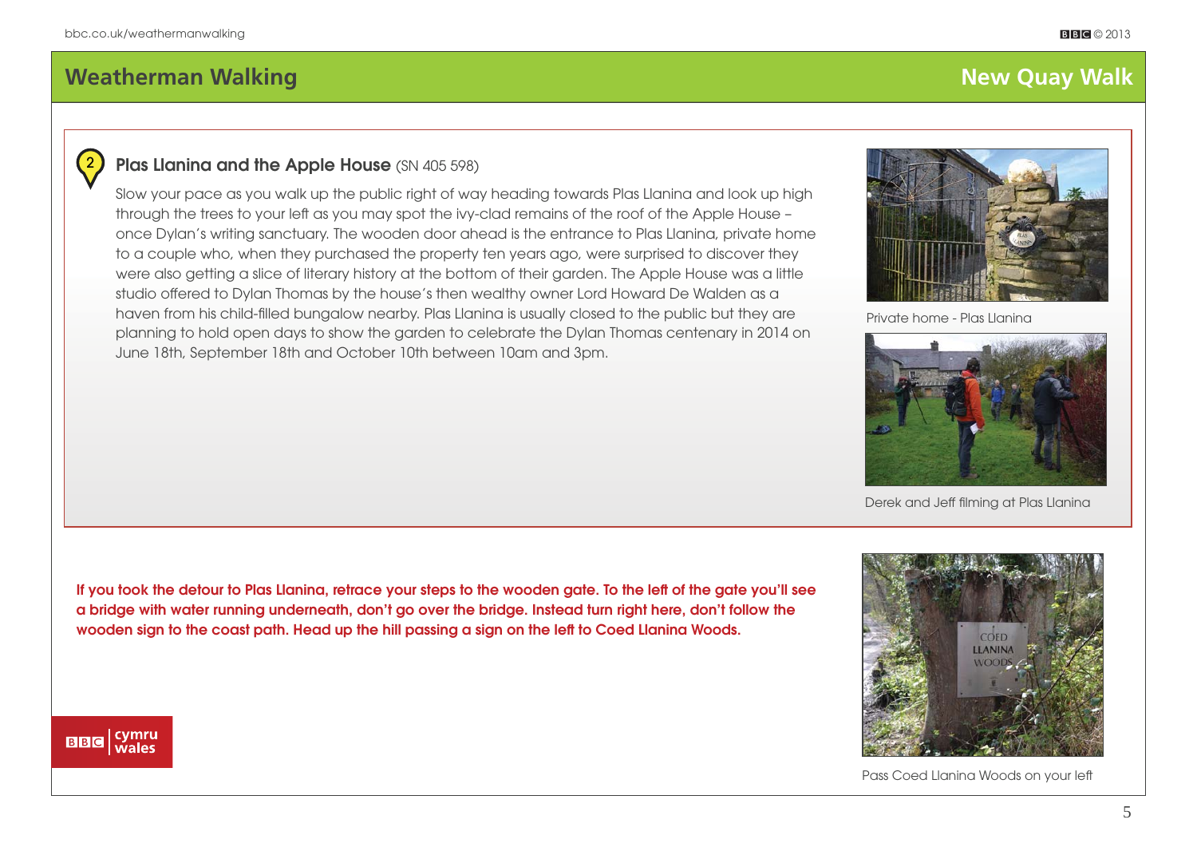2

## **Plas Llanina and the Apple House** (SN 405 598)

Slow your pace as you walk up the public right of way heading towards Plas Llanina and look up high through the trees to your left as you may spot the ivy-clad remains of the roof of the Apple House – once Dylan's writing sanctuary. The wooden door ahead is the entrance to Plas Llanina, private home to a couple who, when they purchased the property ten years ago, were surprised to discover they were also getting a slice of literary history at the bottom of their garden. The Apple House was a little studio offered to Dylan Thomas by the house's then wealthy owner Lord Howard De Walden as a haven from his child-filled bungalow nearby. Plas Llanina is usually closed to the public but they are planning to hold open days to show the garden to celebrate the Dylan Thomas centenary in 2014 on June 18th, September 18th and October 10th between 10am and 3pm.



Private home - Plas Llanina



Derek and Jeff filming at Plas Llanina

**If you took the detour to Plas Llanina, retrace your steps to the wooden gate. To the left of the gate you'll see a bridge with water running underneath, don't go over the bridge. Instead turn right here, don't follow the wooden sign to the coast path. Head up the hill passing a sign on the left to Coed Llanina Woods.**



Pass Coed Llanina Woods on your left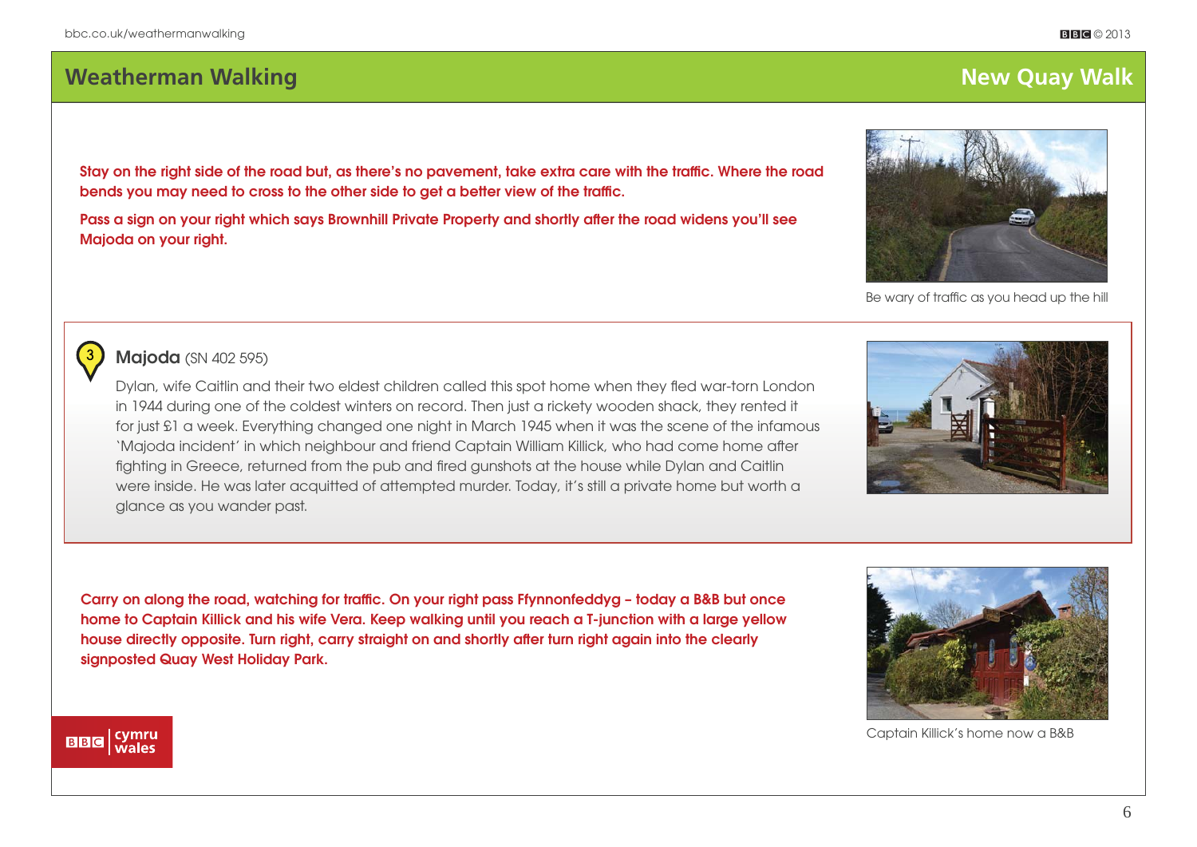# **Meatherman Walking New York and Service Contract Contract Contract Contract Contract Contract Contract Contract Contract Contract Contract Contract Contract Contract Contract Contract Contract Contract Contract Contract C**

Stay on the right side of the road but, as there's no pavement, take extra care with the traffic. Where the road bends you may need to cross to the other side to get a better view of the traffic.

Pass a sign on your right which says Brownhill Private Property and shortly after the road widens you'll see **Majoda on your right.** 

## **Majoda** (SN 402 595)

3

Dylan, wife Caitlin and their two eldest children called this spot home when they fled war-torn London in 1944 during one of the coldest winters on record. Then just a rickety wooden shack, they rented it for just £1 a week. Everything changed one night in March 1945 when it was the scene of the infamous 'Majoda incident' in which neighbour and friend Captain William Killick, who had come home after fighting in Greece, returned from the pub and fired gunshots at the house while Dylan and Caitlin were inside. He was later acquitted of attempted murder. Today, it's still a private home but worth a glance as you wander past.

Carry on along the road, watching for traffic. On your right pass Ffynnonfeddyg - today a B&B but once **home to Captain Killick and his wife Vera. Keep walking until you reach a T-junction with a large yellow**  house directly opposite. Turn right, carry straight on and shortly after turn right again into the clearly **signposted Quay West Holiday Park.**

| cymru<br>| wales

**BBC** 



Captain Killick's home now a B&B



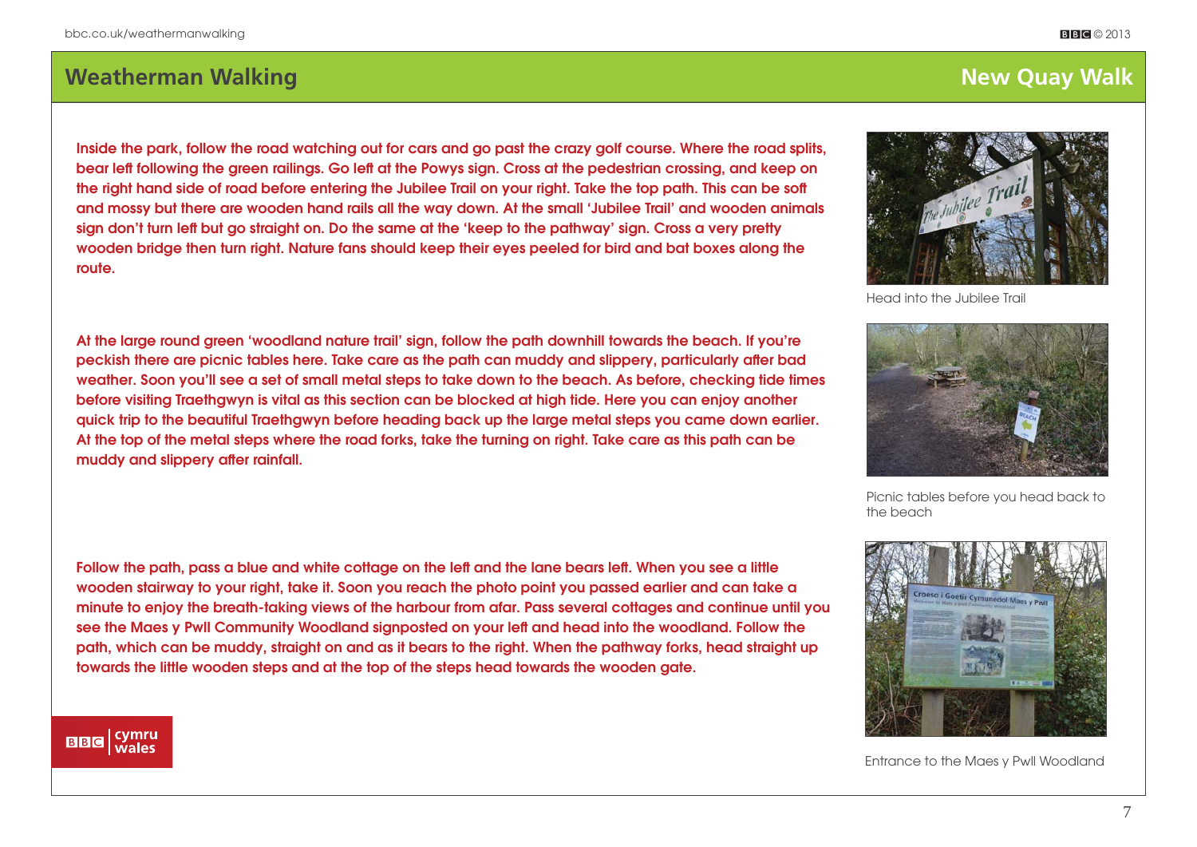# **Meatherman Walking Structure (New York Structure 1998)** and the set of the set of the set of the set of the set of the set of the set of the set of the set of the set of the set of the set of the set of the set of the set

## **Inside the park, follow the road watching out for cars and go past the crazy golf course. Where the road splits, bear left following the green railings. Go left at the Powys sign. Cross at the pedestrian crossing, and keep on the right hand side of road before entering the Jubilee Trail on your right. Take the top path. This can be soft and mossy but there are wooden hand rails all the way down. At the small 'Jubilee Trail' and wooden animals sign don't turn left but go straight on. Do the same at the 'keep to the pathway' sign. Cross a very pretty wooden bridge then turn right. Nature fans should keep their eyes peeled for bird and bat boxes along the route.**

**At the large round green 'woodland nature trail' sign, follow the path downhill towards the beach. If you're**  peckish there are picnic tables here. Take care as the path can muddy and slippery, particularly after bad **weather. Soon you'll see a set of small metal steps to take down to the beach. As before, checking tide times before visiting Traethgwyn is vital as this section can be blocked at high tide. Here you can enjoy another quick trip to the beautiful Traethgwyn before heading back up the large metal steps you came down earlier. At the top of the metal steps where the road forks, take the turning on right. Take care as this path can be**  muddy and slippery after rainfall.

## **Follow the path, pass a blue and white cottage on the left and the lane bears left . When you see a little wooden stairway to your right, take it. Soon you reach the photo point you passed earlier and can take a minute to enjoy the breath-taking views of the harbour from afar. Pass several cottages and continue until you see the Maes y Pwll Community Woodland signposted on your left and head into the woodland. Follow the path, which can be muddy, straight on and as it bears to the right. When the pathway forks, head straight up towards the little wooden steps and at the top of the steps head towards the wooden gate.**



Head into the Jubilee Trail



Picnic tables before you head back to the beach



Entrance to the Maes y Pwll Woodland

### cymru<br>wales **BBC**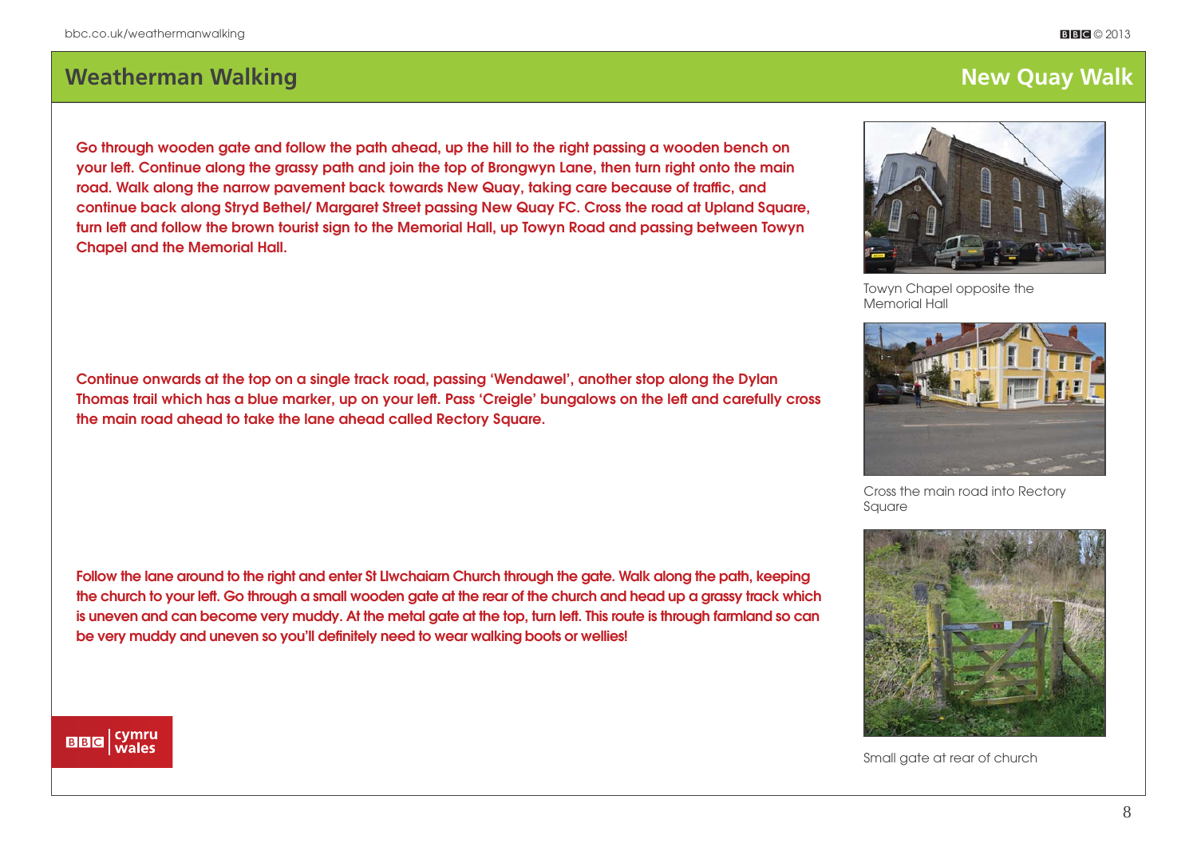# **Weatherman Walking New York: Weatherman Walking New York: Weatherman Walk**

**Go through wooden gate and follow the path ahead, up the hill to the right passing a wooden bench on your left . Continue along the grassy path and join the top of Brongwyn Lane, then turn right onto the main**  road. Walk along the narrow pavement back towards New Quay, taking care because of traffic, and **continue back along Stryd Bethel/ Margaret Street passing New Quay FC. Cross the road at Upland Square, turn left and follow the brown tourist sign to the Memorial Hall, up Towyn Road and passing between Towyn Chapel and the Memorial Hall.**

**Continue onwards at the top on a single track road, passing 'Wendawel', another stop along the Dylan**  Thomas trail which has a blue marker, up on your left. Pass 'Creigle' bungalows on the left and carefully cross **the main road ahead to take the lane ahead called Rectory Square.**

**Follow the lane around to the right and enter St Llwchaiarn Church through the gate. Walk along the path, keeping the church to your left . Go through a small wooden gate at the rear of the church and head up a grassy track which**  is uneven and can become very muddy. At the metal gate at the top, turn left. This route is through farmland so can be very muddy and uneven so you'll definitely need to wear walking boots or wellies!



Towyn Chapel opposite the Memorial Hall



Cross the main road into Rectory Square



Small gate at rear of church

### | cymru<br>| wales **BBC**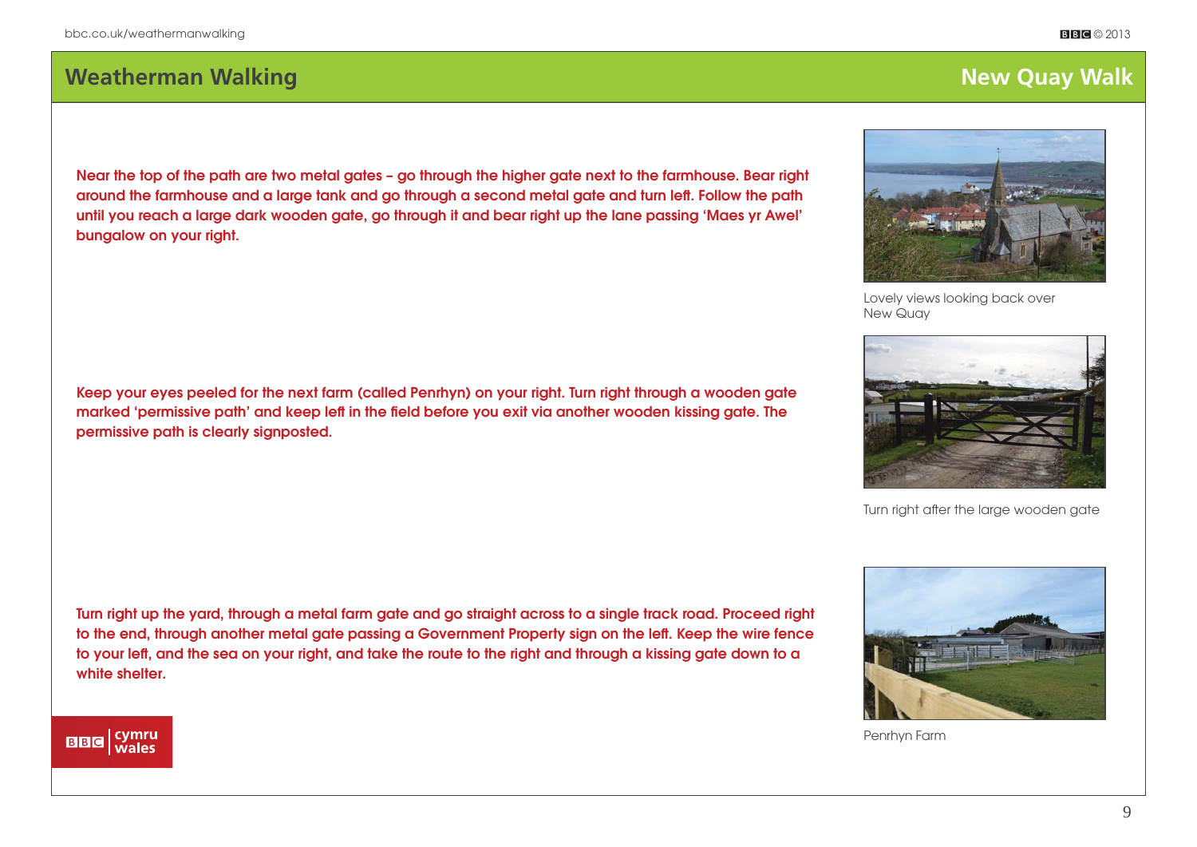## **Weatherman Walking The Construction Construction Construction Construction Construction Construction Construction Construction Construction Construction Construction Construction Construction Construction Construction Con**

**Near the top of the path are two metal gates – go through the higher gate next to the farmhouse. Bear right**  around the farmhouse and a large tank and go through a second metal gate and turn left. Follow the path **until you reach a large dark wooden gate, go through it and bear right up the lane passing 'Maes yr Awel' bungalow on your right.**

**Keep your eyes peeled for the next farm (called Penrhyn) on your right. Turn right through a wooden gate**  marked 'permissive path' and keep left in the field before you exit via another wooden kissing gate. The **permissive path is clearly signposted.**

**Turn right up the yard, through a metal farm gate and go straight across to a single track road. Proceed right to the end, through another metal gate passing a Government Property sign on the left . Keep the wire fence**  to your left, and the sea on your right, and take the route to the right and through a kissing gate down to a **white shelter.**

Penrhyn Farm



Lovely views looking back over New Quay



Turn right after the large wooden gate



### | cymru<br>| wales **BBC**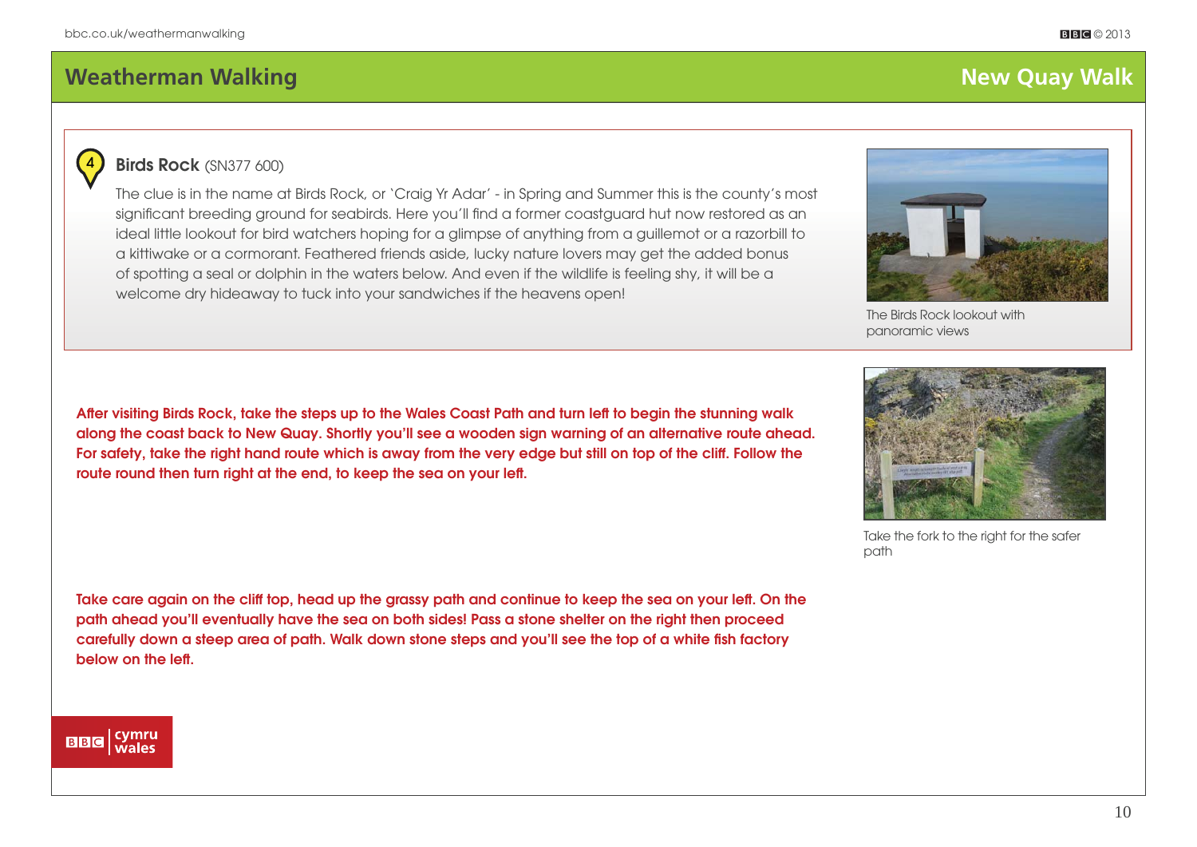# **Weatherman Walking Community Community Community Community Community Community Community Community Community Community Community Community Community Community Community Community Community Community Community Community Co**



### **Birds Rock** (SN377 600)

The clue is in the name at Birds Rock, or 'Craig Yr Adar' - in Spring and Summer this is the county's most significant breeding ground for seabirds. Here you'll find a former coastguard hut now restored as an ideal little lookout for bird watchers hoping for a glimpse of anything from a guillemot or a razorbill to a kittiwake or a cormorant. Feathered friends aside, lucky nature lovers may get the added bonus of spotting a seal or dolphin in the waters below. And even if the wildlife is feeling shy, it will be a welcome dry hideaway to tuck into your sandwiches if the heavens open!



The Birds Rock lookout with panoramic views

After visiting Birds Rock, take the steps up to the Wales Coast Path and turn left to begin the stunning walk **along the coast back to New Quay. Shortly you'll see a wooden sign warning of an alternative route ahead. For safety, take the right hand route which is away from the very edge but still on top of the cliff . Follow the**  route round then turn right at the end, to keep the sea on your left.

Take the fork to the right for the safer path

Take care again on the cliff top, head up the grassy path and continue to keep the sea on your left. On the **path ahead you'll eventually have the sea on both sides! Pass a stone shelter on the right then proceed**  carefully down a steep area of path. Walk down stone steps and you'll see the top of a white fish factory below on the left.

### cymru<br>| wales **BBC**